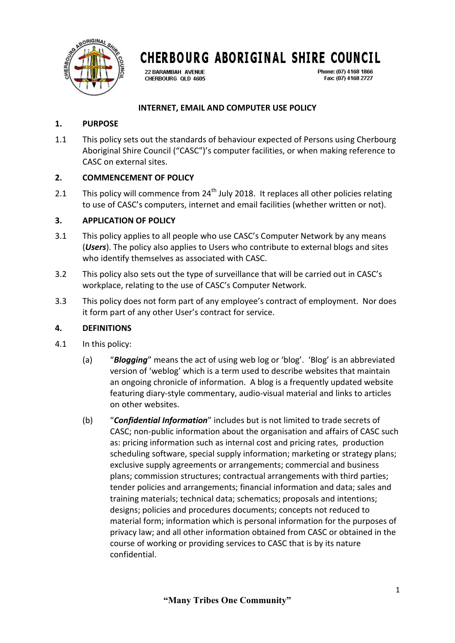

22 BARAMBAH AVENUE CHERBOURG QLD 4605 Phone: (07) 4168 1866 Fax: (07) 4168 2727

### **INTERNET, EMAIL AND COMPUTER USE POLICY**

### **1. PURPOSE**

1.1 This policy sets out the standards of behaviour expected of Persons using Cherbourg Aboriginal Shire Council ("CASC")'s computer facilities, or when making reference to CASC on external sites.

### **2. COMMENCEMENT OF POLICY**

2.1 This policy will commence from  $24<sup>th</sup>$  July 2018. It replaces all other policies relating to use of CASC's computers, internet and email facilities (whether written or not).

### **3. APPLICATION OF POLICY**

- 3.1 This policy applies to all people who use CASC's Computer Network by any means (*Users*). The policy also applies to Users who contribute to external blogs and sites who identify themselves as associated with CASC.
- 3.2 This policy also sets out the type of surveillance that will be carried out in CASC's workplace, relating to the use of CASC's Computer Network.
- 3.3 This policy does not form part of any employee's contract of employment. Nor does it form part of any other User's contract for service.

### **4. DEFINITIONS**

- 4.1 In this policy:
	- (a) "*Blogging*" means the act of using web log or 'blog'. 'Blog' is an abbreviated version of 'weblog' which is a term used to describe websites that maintain an ongoing chronicle of information. A blog is a frequently updated website featuring diary-style commentary, audio-visual material and links to articles on other websites.
	- (b) "*Confidential Information*" includes but is not limited to trade secrets of CASC; non-public information about the organisation and affairs of CASC such as: pricing information such as internal cost and pricing rates, production scheduling software, special supply information; marketing or strategy plans; exclusive supply agreements or arrangements; commercial and business plans; commission structures; contractual arrangements with third parties; tender policies and arrangements; financial information and data; sales and training materials; technical data; schematics; proposals and intentions; designs; policies and procedures documents; concepts not reduced to material form; information which is personal information for the purposes of privacy law; and all other information obtained from CASC or obtained in the course of working or providing services to CASC that is by its nature confidential.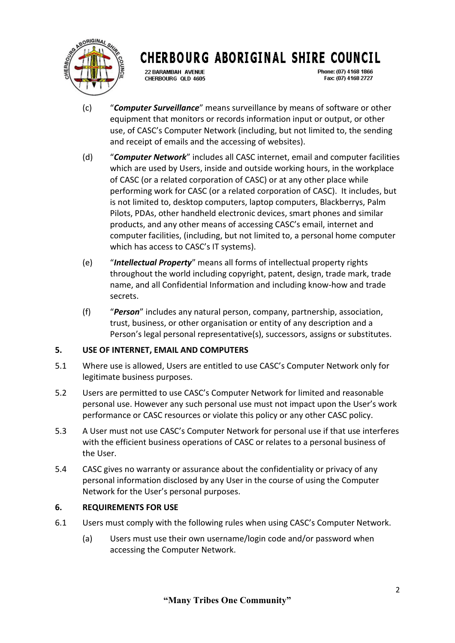

22 BARAMBAH AVENUE CHERBOURG OLD 4605 Phone: (07) 4168 1866 Fax: (07) 4168 2727

- (c) "*Computer Surveillance*" means surveillance by means of software or other equipment that monitors or records information input or output, or other use, of CASC's Computer Network (including, but not limited to, the sending and receipt of emails and the accessing of websites).
- (d) "*Computer Network*" includes all CASC internet, email and computer facilities which are used by Users, inside and outside working hours, in the workplace of CASC (or a related corporation of CASC) or at any other place while performing work for CASC (or a related corporation of CASC). It includes, but is not limited to, desktop computers, laptop computers, Blackberrys, Palm Pilots, PDAs, other handheld electronic devices, smart phones and similar products, and any other means of accessing CASC's email, internet and computer facilities, (including, but not limited to, a personal home computer which has access to CASC's IT systems).
- (e) "*Intellectual Property*" means all forms of intellectual property rights throughout the world including copyright, patent, design, trade mark, trade name, and all Confidential Information and including know-how and trade secrets.
- (f) "*Person*" includes any natural person, company, partnership, association, trust, business, or other organisation or entity of any description and a Person's legal personal representative(s), successors, assigns or substitutes.

## **5. USE OF INTERNET, EMAIL AND COMPUTERS**

- 5.1 Where use is allowed, Users are entitled to use CASC's Computer Network only for legitimate business purposes.
- 5.2 Users are permitted to use CASC's Computer Network for limited and reasonable personal use. However any such personal use must not impact upon the User's work performance or CASC resources or violate this policy or any other CASC policy.
- 5.3 A User must not use CASC's Computer Network for personal use if that use interferes with the efficient business operations of CASC or relates to a personal business of the User.
- 5.4 CASC gives no warranty or assurance about the confidentiality or privacy of any personal information disclosed by any User in the course of using the Computer Network for the User's personal purposes.

### **6. REQUIREMENTS FOR USE**

- 6.1 Users must comply with the following rules when using CASC's Computer Network.
	- (a) Users must use their own username/login code and/or password when accessing the Computer Network.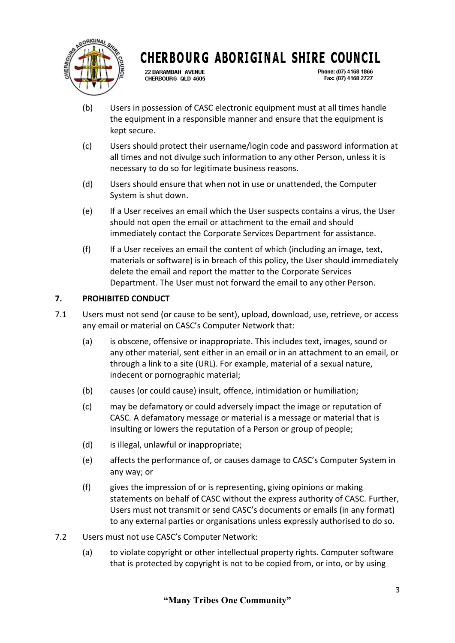

**22 BARAMBAH AVENUE** CHERBOURG OLD 4605

Phone: (07) 4168 1866 Fax: (07) 4168 2727

- (b) Users in possession of CASC electronic equipment must at all times handle the equipment in a responsible manner and ensure that the equipment is kept secure.
- (c) Users should protect their username/login code and password information at all times and not divulge such information to any other Person, unless it is necessary to do so for legitimate business reasons.
- (d) Users should ensure that when not in use or unattended, the Computer System is shut down.
- (e) If a User receives an email which the User suspects contains a virus, the User should not open the email or attachment to the email and should immediately contact the Corporate Services Department for assistance.
- (f) If a User receives an email the content of which (including an image, text, materials or software) is in breach of this policy, the User should immediately delete the email and report the matter to the Corporate Services Department. The User must not forward the email to any other Person.

## **7. PROHIBITED CONDUCT**

- 7.1 Users must not send (or cause to be sent), upload, download, use, retrieve, or access any email or material on CASC's Computer Network that:
	- (a) is obscene, offensive or inappropriate. This includes text, images, sound or any other material, sent either in an email or in an attachment to an email, or through a link to a site (URL). For example, material of a sexual nature, indecent or pornographic material;
	- (b) causes (or could cause) insult, offence, intimidation or humiliation;
	- (c) may be defamatory or could adversely impact the image or reputation of CASC*.* A defamatory message or material is a message or material that is insulting or lowers the reputation of a Person or group of people;
	- (d) is illegal, unlawful or inappropriate;
	- (e) affects the performance of, or causes damage to CASC's Computer System in any way; or
	- (f) gives the impression of or is representing, giving opinions or making statements on behalf of CASC without the express authority of CASC*.* Further, Users must not transmit or send CASC's documents or emails (in any format) to any external parties or organisations unless expressly authorised to do so.
- 7.2 Users must not use CASC's Computer Network:
	- (a) to violate copyright or other intellectual property rights. Computer software that is protected by copyright is not to be copied from, or into, or by using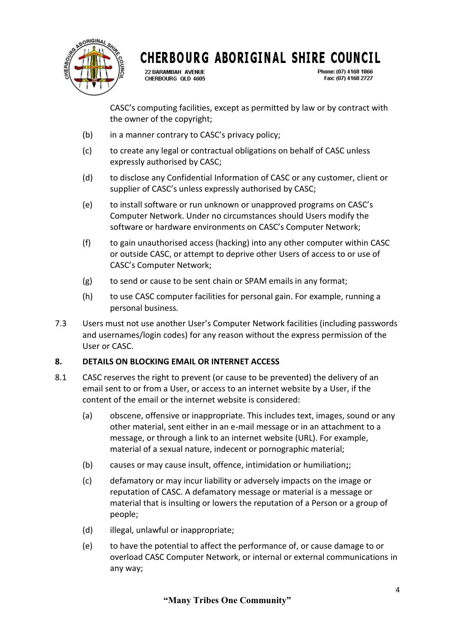

22 BARAMBAH AVENUE CHERBOURG OLD 4605

Phone: (07) 4168 1866 Fax: (07) 4168 2727

CASC's computing facilities, except as permitted by law or by contract with the owner of the copyright;

- (b) in a manner contrary to CASC's privacy policy;
- (c) to create any legal or contractual obligations on behalf of CASC unless expressly authorised by CASC;
- (d) to disclose any Confidential Information of CASC or any customer, client or supplier of CASC's unless expressly authorised by CASC;
- (e) to install software or run unknown or unapproved programs on CASC's Computer Network. Under no circumstances should Users modify the software or hardware environments on CASC's Computer Network;
- (f) to gain unauthorised access (hacking) into any other computer within CASC or outside CASC, or attempt to deprive other Users of access to or use of CASC's Computer Network;
- (g) to send or cause to be sent chain or SPAM emails in any format;
- (h) to use CASC computer facilities for personal gain. For example, running a personal business*.*
- 7.3 Users must not use another User's Computer Network facilities (including passwords and usernames/login codes) for any reason without the express permission of the User or CASC.

### **8. DETAILS ON BLOCKING EMAIL OR INTERNET ACCESS**

- 8.1 CASC reserves the right to prevent (or cause to be prevented) the delivery of an email sent to or from a User, or access to an internet website by a User, if the content of the email or the internet website is considered:
	- (a) obscene, offensive or inappropriate. This includes text, images, sound or any other material, sent either in an e-mail message or in an attachment to a message, or through a link to an internet website (URL). For example, material of a sexual nature, indecent or pornographic material;
	- (b) causes or may cause insult, offence, intimidation or humiliation**;**;
	- (c) defamatory or may incur liability or adversely impacts on the image or reputation of CASC. A defamatory message or material is a message or material that is insulting or lowers the reputation of a Person or a group of people;
	- (d) illegal, unlawful or inappropriate;
	- (e) to have the potential to affect the performance of, or cause damage to or overload CASC Computer Network, or internal or external communications in any way;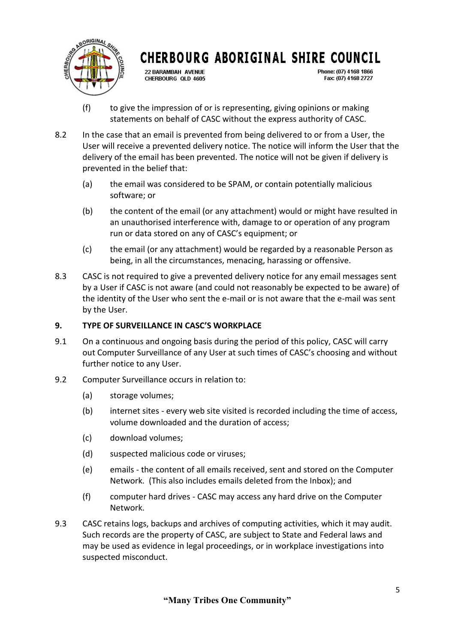

**22 BARAMBAH AVENUE** CHERBOURG OLD 4605

Phone: (07) 4168 1866 Fax: (07) 4168 2727

- (f) to give the impression of or is representing, giving opinions or making statements on behalf of CASC without the express authority of CASC*.*
- 8.2 In the case that an email is prevented from being delivered to or from a User, the User will receive a prevented delivery notice. The notice will inform the User that the delivery of the email has been prevented. The notice will not be given if delivery is prevented in the belief that:
	- (a) the email was considered to be SPAM, or contain potentially malicious software; or
	- (b) the content of the email (or any attachment) would or might have resulted in an unauthorised interference with, damage to or operation of any program run or data stored on any of CASC's equipment; or
	- (c) the email (or any attachment) would be regarded by a reasonable Person as being, in all the circumstances, menacing, harassing or offensive.
- 8.3 CASC is not required to give a prevented delivery notice for any email messages sent by a User if CASC is not aware (and could not reasonably be expected to be aware) of the identity of the User who sent the e-mail or is not aware that the e-mail was sent by the User.

## **9. TYPE OF SURVEILLANCE IN CASC'S WORKPLACE**

- 9.1 On a continuous and ongoing basis during the period of this policy, CASC will carry out Computer Surveillance of any User at such times of CASC's choosing and without further notice to any User.
- 9.2 Computer Surveillance occurs in relation to:
	- (a) storage volumes;
	- (b) internet sites every web site visited is recorded including the time of access, volume downloaded and the duration of access;
	- (c) download volumes;
	- (d) suspected malicious code or viruses;
	- (e) emails the content of all emails received, sent and stored on the Computer Network. (This also includes emails deleted from the Inbox); and
	- (f) computer hard drives CASC may access any hard drive on the Computer Network.
- 9.3 CASC retains logs, backups and archives of computing activities, which it may audit. Such records are the property of CASC, are subject to State and Federal laws and may be used as evidence in legal proceedings, or in workplace investigations into suspected misconduct.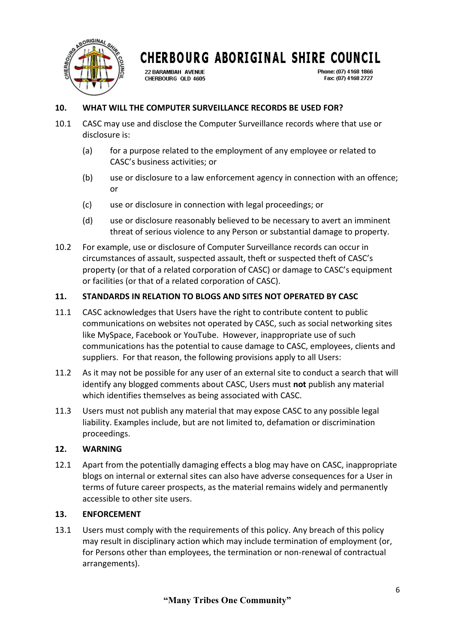

22 BARAMBAH AVENUE CHERBOURG QLD 4605 Phone: (07) 4168 1866 Fax: (07) 4168 2727

## **10. WHAT WILL THE COMPUTER SURVEILLANCE RECORDS BE USED FOR?**

- 10.1 CASC may use and disclose the Computer Surveillance records where that use or disclosure is:
	- (a) for a purpose related to the employment of any employee or related to CASC's business activities; or
	- (b) use or disclosure to a law enforcement agency in connection with an offence; or
	- (c) use or disclosure in connection with legal proceedings; or
	- (d) use or disclosure reasonably believed to be necessary to avert an imminent threat of serious violence to any Person or substantial damage to property.
- 10.2 For example, use or disclosure of Computer Surveillance records can occur in circumstances of assault, suspected assault, theft or suspected theft of CASC's property (or that of a related corporation of CASC) or damage to CASC's equipment or facilities (or that of a related corporation of CASC).

### **11. STANDARDS IN RELATION TO BLOGS AND SITES NOT OPERATED BY CASC**

- 11.1 CASC acknowledges that Users have the right to contribute content to public communications on websites not operated by CASC, such as social networking sites like MySpace, Facebook or YouTube. However, inappropriate use of such communications has the potential to cause damage to CASC, employees, clients and suppliers. For that reason, the following provisions apply to all Users:
- 11.2 As it may not be possible for any user of an external site to conduct a search that will identify any blogged comments about CASC, Users must **not** publish any material which identifies themselves as being associated with CASC.
- 11.3 Users must not publish any material that may expose CASC to any possible legal liability. Examples include, but are not limited to, defamation or discrimination proceedings.

### **12. WARNING**

12.1 Apart from the potentially damaging effects a blog may have on CASC, inappropriate blogs on internal or external sites can also have adverse consequences for a User in terms of future career prospects, as the material remains widely and permanently accessible to other site users.

### **13. ENFORCEMENT**

13.1 Users must comply with the requirements of this policy. Any breach of this policy may result in disciplinary action which may include termination of employment (or, for Persons other than employees, the termination or non-renewal of contractual arrangements).